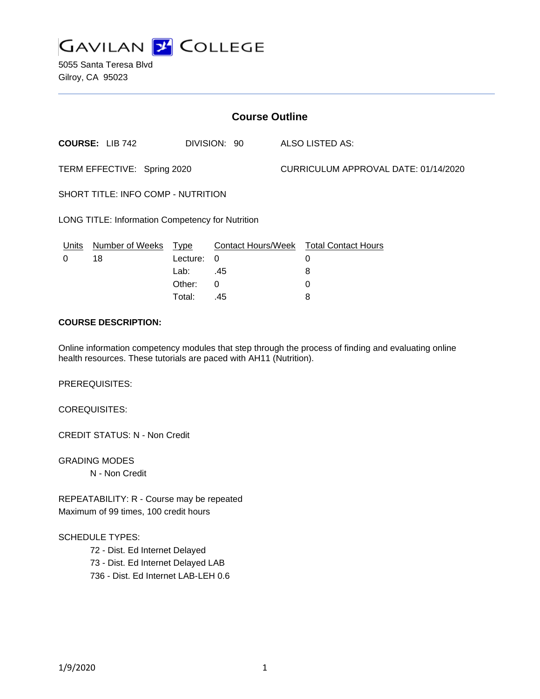

| <b>Course Outline</b>                            |                        |          |                           |                                      |                            |  |
|--------------------------------------------------|------------------------|----------|---------------------------|--------------------------------------|----------------------------|--|
|                                                  | <b>COURSE: LIB 742</b> |          | DIVISION: 90              |                                      | ALSO LISTED AS:            |  |
| TERM EFFECTIVE: Spring 2020                      |                        |          |                           | CURRICULUM APPROVAL DATE: 01/14/2020 |                            |  |
| SHORT TITLE: INFO COMP - NUTRITION               |                        |          |                           |                                      |                            |  |
| LONG TITLE: Information Competency for Nutrition |                        |          |                           |                                      |                            |  |
| Units                                            | Number of Weeks        | Type     | <b>Contact Hours/Week</b> |                                      | <b>Total Contact Hours</b> |  |
| 0                                                | 18                     | Lecture: | $\Omega$                  |                                      | 0                          |  |
|                                                  |                        | Lab:     | .45                       |                                      | 8                          |  |
|                                                  |                        | Other:   | 0                         |                                      | 0                          |  |
|                                                  |                        | Total:   | .45                       |                                      | 8                          |  |
|                                                  |                        |          |                           |                                      |                            |  |

# **COURSE DESCRIPTION:**

Online information competency modules that step through the process of finding and evaluating online health resources. These tutorials are paced with AH11 (Nutrition).

PREREQUISITES:

COREQUISITES:

CREDIT STATUS: N - Non Credit

GRADING MODES N - Non Credit

REPEATABILITY: R - Course may be repeated Maximum of 99 times, 100 credit hours

SCHEDULE TYPES:

72 - Dist. Ed Internet Delayed 73 - Dist. Ed Internet Delayed LAB 736 - Dist. Ed Internet LAB-LEH 0.6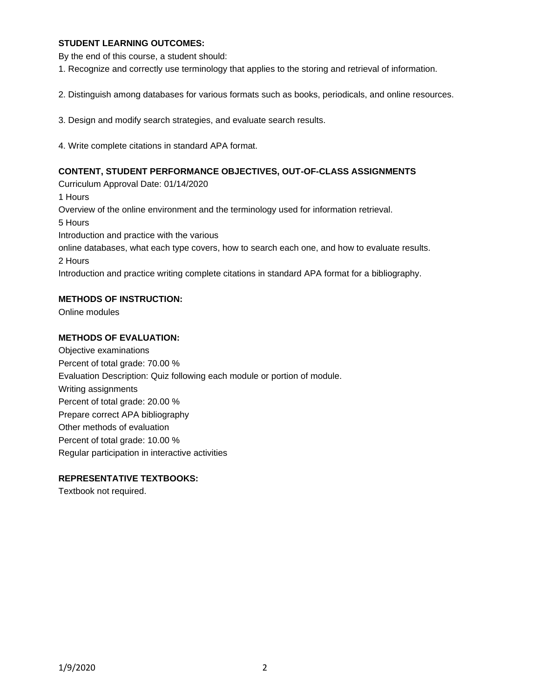## **STUDENT LEARNING OUTCOMES:**

By the end of this course, a student should:

1. Recognize and correctly use terminology that applies to the storing and retrieval of information.

2. Distinguish among databases for various formats such as books, periodicals, and online resources.

3. Design and modify search strategies, and evaluate search results.

4. Write complete citations in standard APA format.

### **CONTENT, STUDENT PERFORMANCE OBJECTIVES, OUT-OF-CLASS ASSIGNMENTS**

Curriculum Approval Date: 01/14/2020 1 Hours Overview of the online environment and the terminology used for information retrieval. 5 Hours Introduction and practice with the various online databases, what each type covers, how to search each one, and how to evaluate results. 2 Hours Introduction and practice writing complete citations in standard APA format for a bibliography.

## **METHODS OF INSTRUCTION:**

Online modules

#### **METHODS OF EVALUATION:**

Objective examinations Percent of total grade: 70.00 % Evaluation Description: Quiz following each module or portion of module. Writing assignments Percent of total grade: 20.00 % Prepare correct APA bibliography Other methods of evaluation Percent of total grade: 10.00 % Regular participation in interactive activities

## **REPRESENTATIVE TEXTBOOKS:**

Textbook not required.